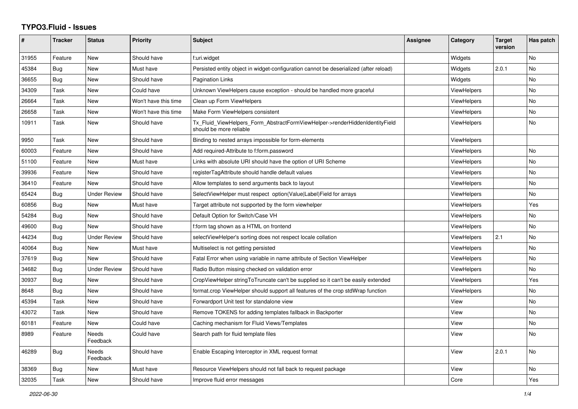## **TYPO3.Fluid - Issues**

| #     | <b>Tracker</b> | <b>Status</b>       | <b>Priority</b>      | <b>Subject</b>                                                                                         | Assignee | Category           | <b>Target</b><br>version | Has patch |
|-------|----------------|---------------------|----------------------|--------------------------------------------------------------------------------------------------------|----------|--------------------|--------------------------|-----------|
| 31955 | Feature        | <b>New</b>          | Should have          | f:uri.widget                                                                                           |          | Widgets            |                          | <b>No</b> |
| 45384 | Bug            | <b>New</b>          | Must have            | Persisted entity object in widget-configuration cannot be deserialized (after reload)                  |          | Widgets            | 2.0.1                    | <b>No</b> |
| 36655 | Bug            | New                 | Should have          | <b>Pagination Links</b>                                                                                |          | Widgets            |                          | <b>No</b> |
| 34309 | Task           | New                 | Could have           | Unknown ViewHelpers cause exception - should be handled more graceful                                  |          | ViewHelpers        |                          | No        |
| 26664 | Task           | New                 | Won't have this time | Clean up Form ViewHelpers                                                                              |          | ViewHelpers        |                          | No        |
| 26658 | Task           | New                 | Won't have this time | Make Form ViewHelpers consistent                                                                       |          | <b>ViewHelpers</b> |                          | <b>No</b> |
| 10911 | Task           | New                 | Should have          | Tx_Fluid_ViewHelpers_Form_AbstractFormViewHelper->renderHiddenIdentityField<br>should be more reliable |          | <b>ViewHelpers</b> |                          | <b>No</b> |
| 9950  | Task           | <b>New</b>          | Should have          | Binding to nested arrays impossible for form-elements                                                  |          | <b>ViewHelpers</b> |                          |           |
| 60003 | Feature        | New                 | Should have          | Add required-Attribute to f:form.password                                                              |          | ViewHelpers        |                          | No        |
| 51100 | Feature        | New                 | Must have            | Links with absolute URI should have the option of URI Scheme                                           |          | ViewHelpers        |                          | No        |
| 39936 | Feature        | <b>New</b>          | Should have          | registerTagAttribute should handle default values                                                      |          | ViewHelpers        |                          | <b>No</b> |
| 36410 | Feature        | <b>New</b>          | Should have          | Allow templates to send arguments back to layout                                                       |          | <b>ViewHelpers</b> |                          | <b>No</b> |
| 65424 | Bug            | <b>Under Review</b> | Should have          | SelectViewHelper must respect option(Value Label)Field for arrays                                      |          | ViewHelpers        |                          | No        |
| 60856 | Bug            | New                 | Must have            | Target attribute not supported by the form viewhelper                                                  |          | ViewHelpers        |                          | Yes       |
| 54284 | Bug            | New                 | Should have          | Default Option for Switch/Case VH                                                                      |          | ViewHelpers        |                          | <b>No</b> |
| 49600 | Bug            | <b>New</b>          | Should have          | f:form tag shown as a HTML on frontend                                                                 |          | ViewHelpers        |                          | <b>No</b> |
| 44234 | Bug            | Under Review        | Should have          | selectViewHelper's sorting does not respect locale collation                                           |          | ViewHelpers        | 2.1                      | No.       |
| 40064 | Bug            | New                 | Must have            | Multiselect is not getting persisted                                                                   |          | <b>ViewHelpers</b> |                          | No        |
| 37619 | Bug            | New                 | Should have          | Fatal Error when using variable in name attribute of Section ViewHelper                                |          | <b>ViewHelpers</b> |                          | No        |
| 34682 | <b>Bug</b>     | Under Review        | Should have          | Radio Button missing checked on validation error                                                       |          | ViewHelpers        |                          | <b>No</b> |
| 30937 | <b>Bug</b>     | New                 | Should have          | CropViewHelper stringToTruncate can't be supplied so it can't be easily extended                       |          | <b>ViewHelpers</b> |                          | Yes       |
| 8648  | Bug            | New                 | Should have          | format.crop ViewHelper should support all features of the crop stdWrap function                        |          | ViewHelpers        |                          | No        |
| 45394 | Task           | New                 | Should have          | Forwardport Unit test for standalone view                                                              |          | View               |                          | <b>No</b> |
| 43072 | Task           | New                 | Should have          | Remove TOKENS for adding templates fallback in Backporter                                              |          | View               |                          | No        |
| 60181 | Feature        | New                 | Could have           | Caching mechanism for Fluid Views/Templates                                                            |          | View               |                          | No        |
| 8989  | Feature        | Needs<br>Feedback   | Could have           | Search path for fluid template files                                                                   |          | View               |                          | <b>No</b> |
| 46289 | Bug            | Needs<br>Feedback   | Should have          | Enable Escaping Interceptor in XML request format                                                      |          | View               | 2.0.1                    | <b>No</b> |
| 38369 | Bug            | New                 | Must have            | Resource ViewHelpers should not fall back to request package                                           |          | View               |                          | No        |
| 32035 | Task           | New                 | Should have          | Improve fluid error messages                                                                           |          | Core               |                          | Yes       |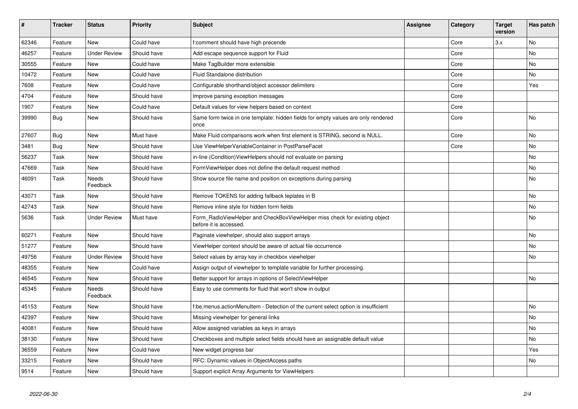| #     | <b>Tracker</b> | <b>Status</b>            | <b>Priority</b> | <b>Subject</b>                                                                                       | Assignee | Category | <b>Target</b><br>version | Has patch |
|-------|----------------|--------------------------|-----------------|------------------------------------------------------------------------------------------------------|----------|----------|--------------------------|-----------|
| 62346 | Feature        | New                      | Could have      | f:comment should have high precende                                                                  |          | Core     | 3.x                      | <b>No</b> |
| 46257 | Feature        | <b>Under Review</b>      | Should have     | Add escape sequence support for Fluid                                                                |          | Core     |                          | <b>No</b> |
| 30555 | Feature        | New                      | Could have      | Make TagBuilder more extensible                                                                      |          | Core     |                          | No        |
| 10472 | Feature        | <b>New</b>               | Could have      | Fluid Standalone distribution                                                                        |          | Core     |                          | No        |
| 7608  | Feature        | New                      | Could have      | Configurable shorthand/object accessor delimiters                                                    |          | Core     |                          | Yes       |
| 4704  | Feature        | New                      | Should have     | Improve parsing exception messages                                                                   |          | Core     |                          |           |
| 1907  | Feature        | New                      | Could have      | Default values for view helpers based on context                                                     |          | Core     |                          |           |
| 39990 | Bug            | New                      | Should have     | Same form twice in one template: hidden fields for empty values are only rendered<br>once            |          | Core     |                          | <b>No</b> |
| 27607 | <b>Bug</b>     | <b>New</b>               | Must have       | Make Fluid comparisons work when first element is STRING, second is NULL.                            |          | Core     |                          | No        |
| 3481  | <b>Bug</b>     | <b>New</b>               | Should have     | Use ViewHelperVariableContainer in PostParseFacet                                                    |          | Core     |                          | <b>No</b> |
| 56237 | Task           | <b>New</b>               | Should have     | in-line (Condition) View Helpers should not evaluate on parsing                                      |          |          |                          | <b>No</b> |
| 47669 | Task           | New                      | Should have     | FormViewHelper does not define the default request method                                            |          |          |                          | No        |
| 46091 | Task           | Needs<br>Feedback        | Should have     | Show source file name and position on exceptions during parsing                                      |          |          |                          | No        |
| 43071 | Task           | <b>New</b>               | Should have     | Remove TOKENS for adding fallback teplates in B                                                      |          |          |                          | <b>No</b> |
| 42743 | Task           | <b>New</b>               | Should have     | Remove inline style for hidden form fields                                                           |          |          |                          | No        |
| 5636  | Task           | <b>Under Review</b>      | Must have       | Form_RadioViewHelper and CheckBoxViewHelper miss check for existing object<br>before it is accessed. |          |          |                          | <b>No</b> |
| 60271 | Feature        | New                      | Should have     | Paginate viewhelper, should also support arrays                                                      |          |          |                          | No        |
| 51277 | Feature        | <b>New</b>               | Should have     | ViewHelper context should be aware of actual file occurrence                                         |          |          |                          | <b>No</b> |
| 49756 | Feature        | <b>Under Review</b>      | Should have     | Select values by array key in checkbox viewhelper                                                    |          |          |                          | No        |
| 48355 | Feature        | New                      | Could have      | Assign output of viewhelper to template variable for further processing.                             |          |          |                          |           |
| 46545 | Feature        | New                      | Should have     | Better support for arrays in options of SelectViewHelper                                             |          |          |                          | No        |
| 45345 | Feature        | <b>Needs</b><br>Feedback | Should have     | Easy to use comments for fluid that won't show in output                                             |          |          |                          |           |
| 45153 | Feature        | New                      | Should have     | f:be.menus.actionMenuItem - Detection of the current select option is insufficient                   |          |          |                          | No        |
| 42397 | Feature        | <b>New</b>               | Should have     | Missing viewhelper for general links                                                                 |          |          |                          | <b>No</b> |
| 40081 | Feature        | New                      | Should have     | Allow assigned variables as keys in arrays                                                           |          |          |                          | No        |
| 38130 | Feature        | New                      | Should have     | Checkboxes and multiple select fields should have an assignable default value                        |          |          |                          | No        |
| 36559 | Feature        | New                      | Could have      | New widget progress bar                                                                              |          |          |                          | Yes       |
| 33215 | Feature        | <b>New</b>               | Should have     | RFC: Dynamic values in ObjectAccess paths                                                            |          |          |                          | <b>No</b> |
| 9514  | Feature        | <b>New</b>               | Should have     | Support explicit Array Arguments for ViewHelpers                                                     |          |          |                          |           |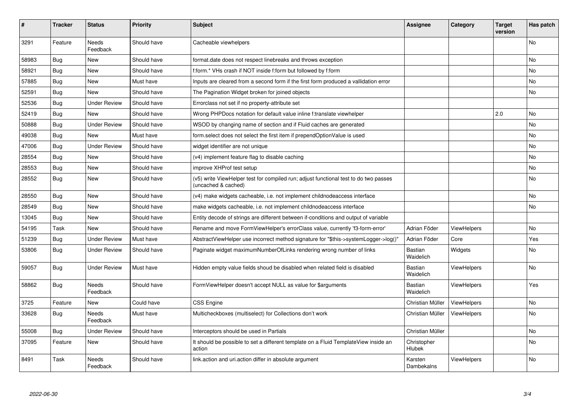| ∦     | <b>Tracker</b> | <b>Status</b>            | <b>Priority</b> | <b>Subject</b>                                                                                              | <b>Assignee</b>             | Category           | <b>Target</b><br>version | Has patch |
|-------|----------------|--------------------------|-----------------|-------------------------------------------------------------------------------------------------------------|-----------------------------|--------------------|--------------------------|-----------|
| 3291  | Feature        | <b>Needs</b><br>Feedback | Should have     | Cacheable viewhelpers                                                                                       |                             |                    |                          | No        |
| 58983 | Bug            | <b>New</b>               | Should have     | format.date does not respect linebreaks and throws exception                                                |                             |                    |                          | No        |
| 58921 | Bug            | <b>New</b>               | Should have     | f:form.* VHs crash if NOT inside f:form but followed by f:form                                              |                             |                    |                          | <b>No</b> |
| 57885 | Bug            | New                      | Must have       | Inputs are cleared from a second form if the first form produced a vallidation error                        |                             |                    |                          | No        |
| 52591 | <b>Bug</b>     | <b>New</b>               | Should have     | The Pagination Widget broken for joined objects                                                             |                             |                    |                          | No        |
| 52536 | <b>Bug</b>     | <b>Under Review</b>      | Should have     | Errorclass not set if no property-attribute set                                                             |                             |                    |                          |           |
| 52419 | Bug            | New                      | Should have     | Wrong PHPDocs notation for default value inline f:translate viewhelper                                      |                             |                    | 2.0                      | No        |
| 50888 | Bug            | <b>Under Review</b>      | Should have     | WSOD by changing name of section and if Fluid caches are generated                                          |                             |                    |                          | No.       |
| 49038 | Bug            | <b>New</b>               | Must have       | form.select does not select the first item if prependOptionValue is used                                    |                             |                    |                          | No        |
| 47006 | <b>Bug</b>     | <b>Under Review</b>      | Should have     | widget identifier are not unique                                                                            |                             |                    |                          | No        |
| 28554 | Bug            | <b>New</b>               | Should have     | (v4) implement feature flag to disable caching                                                              |                             |                    |                          | No.       |
| 28553 | <b>Bug</b>     | New                      | Should have     | improve XHProf test setup                                                                                   |                             |                    |                          | No        |
| 28552 | Bug            | New                      | Should have     | (v5) write ViewHelper test for compiled run; adjust functional test to do two passes<br>(uncached & cached) |                             |                    |                          | No        |
| 28550 | Bug            | New                      | Should have     | (v4) make widgets cacheable, i.e. not implement childnodeaccess interface                                   |                             |                    |                          | No        |
| 28549 | Bug            | New                      | Should have     | make widgets cacheable, i.e. not implement childnodeaccess interface                                        |                             |                    |                          | No        |
| 13045 | Bug            | <b>New</b>               | Should have     | Entity decode of strings are different between if-conditions and output of variable                         |                             |                    |                          |           |
| 54195 | Task           | <b>New</b>               | Should have     | Rename and move FormViewHelper's errorClass value, currently 'f3-form-error'                                | Adrian Föder                | ViewHelpers        |                          | No        |
| 51239 | Bug            | <b>Under Review</b>      | Must have       | AbstractViewHelper use incorrect method signature for "\$this->systemLogger->log()"                         | Adrian Föder                | Core               |                          | Yes       |
| 53806 | Bug            | <b>Under Review</b>      | Should have     | Paginate widget maximumNumberOfLinks rendering wrong number of links                                        | Bastian<br>Waidelich        | Widgets            |                          | No        |
| 59057 | Bug            | <b>Under Review</b>      | Must have       | Hidden empty value fields shoud be disabled when related field is disabled                                  | <b>Bastian</b><br>Waidelich | <b>ViewHelpers</b> |                          | No        |
| 58862 | <b>Bug</b>     | <b>Needs</b><br>Feedback | Should have     | FormViewHelper doesn't accept NULL as value for \$arguments                                                 | Bastian<br>Waidelich        | ViewHelpers        |                          | Yes       |
| 3725  | Feature        | New                      | Could have      | <b>CSS Engine</b>                                                                                           | Christian Müller            | ViewHelpers        |                          | No        |
| 33628 | Bug            | Needs<br>Feedback        | Must have       | Multicheckboxes (multiselect) for Collections don't work                                                    | Christian Müller            | <b>ViewHelpers</b> |                          | No        |
| 55008 | Bug            | Under Review             | Should have     | Interceptors should be used in Partials                                                                     | Christian Müller            |                    |                          | No        |
| 37095 | Feature        | New                      | Should have     | It should be possible to set a different template on a Fluid TemplateView inside an<br>action               | Christopher<br>Hlubek       |                    |                          | No        |
| 8491  | Task           | Needs<br>Feedback        | Should have     | link.action and uri.action differ in absolute argument                                                      | Karsten<br>Dambekalns       | ViewHelpers        |                          | No        |